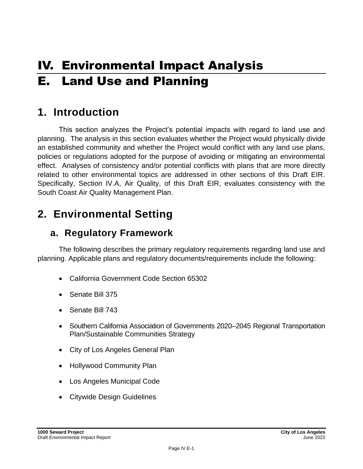# IV. Environmental Impact Analysis E. Land Use and Planning

## **1. Introduction**

This section analyzes the Project's potential impacts with regard to land use and planning. The analysis in this section evaluates whether the Project would physically divide an established community and whether the Project would conflict with any land use plans, policies or regulations adopted for the purpose of avoiding or mitigating an environmental effect. Analyses of consistency and/or potential conflicts with plans that are more directly related to other environmental topics are addressed in other sections of this Draft EIR. Specifically, Section IV.A, Air Quality, of this Draft EIR, evaluates consistency with the South Coast Air Quality Management Plan.

## **2. Environmental Setting**

## **a. Regulatory Framework**

The following describes the primary regulatory requirements regarding land use and planning. Applicable plans and regulatory documents/requirements include the following:

- California Government Code Section 65302
- Senate Bill 375
- Senate Bill 743
- Southern California Association of Governments 2020–2045 Regional Transportation Plan/Sustainable Communities Strategy
- City of Los Angeles General Plan
- Hollywood Community Plan
- Los Angeles Municipal Code
- Citywide Design Guidelines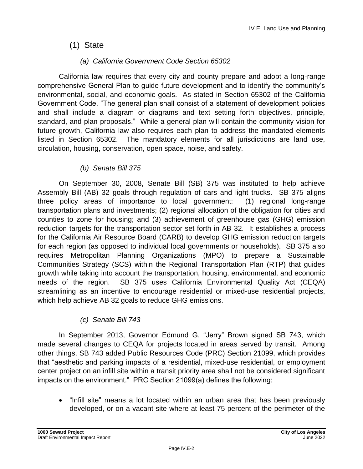## (1) State

### *(a) California Government Code Section 65302*

California law requires that every city and county prepare and adopt a long-range comprehensive General Plan to guide future development and to identify the community's environmental, social, and economic goals. As stated in Section 65302 of the California Government Code, "The general plan shall consist of a statement of development policies and shall include a diagram or diagrams and text setting forth objectives, principle, standard, and plan proposals." While a general plan will contain the community vision for future growth, California law also requires each plan to address the mandated elements listed in Section 65302. The mandatory elements for all jurisdictions are land use, circulation, housing, conservation, open space, noise, and safety.

### *(b) Senate Bill 375*

On September 30, 2008, Senate Bill (SB) 375 was instituted to help achieve Assembly Bill (AB) 32 goals through regulation of cars and light trucks. SB 375 aligns three policy areas of importance to local government: (1) regional long-range transportation plans and investments; (2) regional allocation of the obligation for cities and counties to zone for housing; and (3) achievement of greenhouse gas (GHG) emission reduction targets for the transportation sector set forth in AB 32. It establishes a process for the California Air Resource Board (CARB) to develop GHG emission reduction targets for each region (as opposed to individual local governments or households). SB 375 also requires Metropolitan Planning Organizations (MPO) to prepare a Sustainable Communities Strategy (SCS) within the Regional Transportation Plan (RTP) that guides growth while taking into account the transportation, housing, environmental, and economic needs of the region. SB 375 uses California Environmental Quality Act (CEQA) streamlining as an incentive to encourage residential or mixed-use residential projects, which help achieve AB 32 goals to reduce GHG emissions.

### *(c) Senate Bill 743*

In September 2013, Governor Edmund G. "Jerry" Brown signed SB 743, which made several changes to CEQA for projects located in areas served by transit. Among other things, SB 743 added Public Resources Code (PRC) Section 21099, which provides that "aesthetic and parking impacts of a residential, mixed-use residential, or employment center project on an infill site within a transit priority area shall not be considered significant impacts on the environment." PRC Section 21099(a) defines the following:

• "Infill site" means a lot located within an urban area that has been previously developed, or on a vacant site where at least 75 percent of the perimeter of the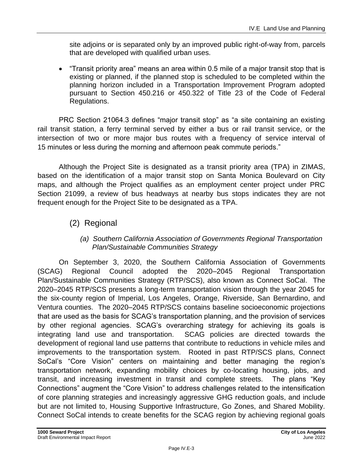site adjoins or is separated only by an improved public right-of-way from, parcels that are developed with qualified urban uses.

• "Transit priority area" means an area within 0.5 mile of a major transit stop that is existing or planned, if the planned stop is scheduled to be completed within the planning horizon included in a Transportation Improvement Program adopted pursuant to Section 450.216 or 450.322 of Title 23 of the Code of Federal Regulations.

PRC Section 21064.3 defines "major transit stop" as "a site containing an existing rail transit station, a ferry terminal served by either a bus or rail transit service, or the intersection of two or more major bus routes with a frequency of service interval of 15 minutes or less during the morning and afternoon peak commute periods."

Although the Project Site is designated as a transit priority area (TPA) in ZIMAS, based on the identification of a major transit stop on Santa Monica Boulevard on City maps, and although the Project qualifies as an employment center project under PRC Section 21099, a review of bus headways at nearby bus stops indicates they are not frequent enough for the Project Site to be designated as a TPA.

## (2) Regional

### *(a) Southern California Association of Governments Regional Transportation Plan/Sustainable Communities Strategy*

On September 3, 2020, the Southern California Association of Governments (SCAG) Regional Council adopted the 2020–2045 Regional Transportation Plan/Sustainable Communities Strategy (RTP/SCS), also known as Connect SoCal. The 2020–2045 RTP/SCS presents a long-term transportation vision through the year 2045 for the six-county region of Imperial, Los Angeles, Orange, Riverside, San Bernardino, and Ventura counties. The 2020–2045 RTP/SCS contains baseline socioeconomic projections that are used as the basis for SCAG's transportation planning, and the provision of services by other regional agencies. SCAG's overarching strategy for achieving its goals is integrating land use and transportation. SCAG policies are directed towards the development of regional land use patterns that contribute to reductions in vehicle miles and improvements to the transportation system. Rooted in past RTP/SCS plans, Connect SoCal's "Core Vision" centers on maintaining and better managing the region's transportation network, expanding mobility choices by co-locating housing, jobs, and transit, and increasing investment in transit and complete streets. The plans "Key Connections" augment the "Core Vision" to address challenges related to the intensification of core planning strategies and increasingly aggressive GHG reduction goals, and include but are not limited to, Housing Supportive Infrastructure, Go Zones, and Shared Mobility. Connect SoCal intends to create benefits for the SCAG region by achieving regional goals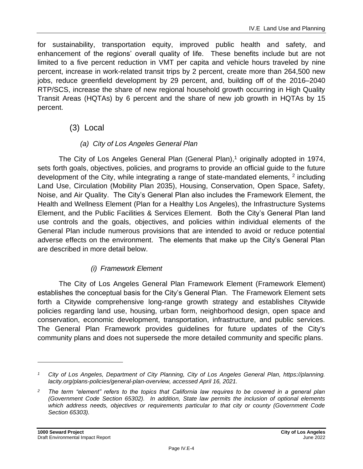for sustainability, transportation equity, improved public health and safety, and enhancement of the regions' overall quality of life. These benefits include but are not limited to a five percent reduction in VMT per capita and vehicle hours traveled by nine percent, increase in work-related transit trips by 2 percent, create more than 264,500 new jobs, reduce greenfield development by 29 percent, and, building off of the 2016–2040 RTP/SCS, increase the share of new regional household growth occurring in High Quality Transit Areas (HQTAs) by 6 percent and the share of new job growth in HQTAs by 15 percent.

### (3) Local

### *(a) City of Los Angeles General Plan*

The City of Los Angeles General Plan (General Plan), $<sup>1</sup>$  originally adopted in 1974,</sup> sets forth goals, objectives, policies, and programs to provide an official guide to the future development of the City, while integrating a range of state-mandated elements,  $2$  including Land Use, Circulation (Mobility Plan 2035), Housing, Conservation, Open Space, Safety, Noise, and Air Quality. The City's General Plan also includes the Framework Element, the Health and Wellness Element (Plan for a Healthy Los Angeles), the Infrastructure Systems Element, and the Public Facilities & Services Element. Both the City's General Plan land use controls and the goals, objectives, and policies within individual elements of the General Plan include numerous provisions that are intended to avoid or reduce potential adverse effects on the environment. The elements that make up the City's General Plan are described in more detail below.

### *(i) Framework Element*

The City of Los Angeles General Plan Framework Element (Framework Element) establishes the conceptual basis for the City's General Plan. The Framework Element sets forth a Citywide comprehensive long-range growth strategy and establishes Citywide policies regarding land use, housing, urban form, neighborhood design, open space and conservation, economic development, transportation, infrastructure, and public services. The General Plan Framework provides guidelines for future updates of the City's community plans and does not supersede the more detailed community and specific plans.

*<sup>1</sup> City of Los Angeles, Department of City Planning, City of Los Angeles General Plan, https://planning. lacity.org/plans-policies/general-plan-overview, accessed April 16, 2021.*

*<sup>2</sup> The term "element" refers to the topics that California law requires to be covered in a general plan (Government Code Section 65302). In addition, State law permits the inclusion of optional elements which address needs, objectives or requirements particular to that city or county (Government Code Section 65303).*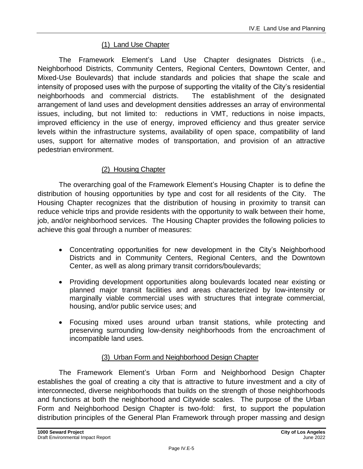### (1) Land Use Chapter

The Framework Element's Land Use Chapter designates Districts (i.e., Neighborhood Districts, Community Centers, Regional Centers, Downtown Center, and Mixed-Use Boulevards) that include standards and policies that shape the scale and intensity of proposed uses with the purpose of supporting the vitality of the City's residential neighborhoods and commercial districts. The establishment of the designated arrangement of land uses and development densities addresses an array of environmental issues, including, but not limited to: reductions in VMT, reductions in noise impacts, improved efficiency in the use of energy, improved efficiency and thus greater service levels within the infrastructure systems, availability of open space, compatibility of land uses, support for alternative modes of transportation, and provision of an attractive pedestrian environment.

#### (2) Housing Chapter

The overarching goal of the Framework Element's Housing Chapter is to define the distribution of housing opportunities by type and cost for all residents of the City. The Housing Chapter recognizes that the distribution of housing in proximity to transit can reduce vehicle trips and provide residents with the opportunity to walk between their home, job, and/or neighborhood services. The Housing Chapter provides the following policies to achieve this goal through a number of measures:

- Concentrating opportunities for new development in the City's Neighborhood Districts and in Community Centers, Regional Centers, and the Downtown Center, as well as along primary transit corridors/boulevards;
- Providing development opportunities along boulevards located near existing or planned major transit facilities and areas characterized by low-intensity or marginally viable commercial uses with structures that integrate commercial, housing, and/or public service uses; and
- Focusing mixed uses around urban transit stations, while protecting and preserving surrounding low-density neighborhoods from the encroachment of incompatible land uses.

### (3) Urban Form and Neighborhood Design Chapter

The Framework Element's Urban Form and Neighborhood Design Chapter establishes the goal of creating a city that is attractive to future investment and a city of interconnected, diverse neighborhoods that builds on the strength of those neighborhoods and functions at both the neighborhood and Citywide scales. The purpose of the Urban Form and Neighborhood Design Chapter is two-fold: first, to support the population distribution principles of the General Plan Framework through proper massing and design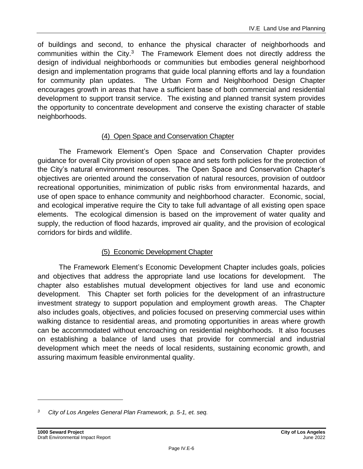of buildings and second, to enhance the physical character of neighborhoods and communities within the City. $3$  The Framework Element does not directly address the design of individual neighborhoods or communities but embodies general neighborhood design and implementation programs that guide local planning efforts and lay a foundation for community plan updates. The Urban Form and Neighborhood Design Chapter encourages growth in areas that have a sufficient base of both commercial and residential development to support transit service. The existing and planned transit system provides the opportunity to concentrate development and conserve the existing character of stable neighborhoods.

### (4) Open Space and Conservation Chapter

The Framework Element's Open Space and Conservation Chapter provides guidance for overall City provision of open space and sets forth policies for the protection of the City's natural environment resources. The Open Space and Conservation Chapter's objectives are oriented around the conservation of natural resources, provision of outdoor recreational opportunities, minimization of public risks from environmental hazards, and use of open space to enhance community and neighborhood character. Economic, social, and ecological imperative require the City to take full advantage of all existing open space elements. The ecological dimension is based on the improvement of water quality and supply, the reduction of flood hazards, improved air quality, and the provision of ecological corridors for birds and wildlife.

### (5) Economic Development Chapter

The Framework Element's Economic Development Chapter includes goals, policies and objectives that address the appropriate land use locations for development. The chapter also establishes mutual development objectives for land use and economic development. This Chapter set forth policies for the development of an infrastructure investment strategy to support population and employment growth areas. The Chapter also includes goals, objectives, and policies focused on preserving commercial uses within walking distance to residential areas, and promoting opportunities in areas where growth can be accommodated without encroaching on residential neighborhoods. It also focuses on establishing a balance of land uses that provide for commercial and industrial development which meet the needs of local residents, sustaining economic growth, and assuring maximum feasible environmental quality.

*<sup>3</sup> City of Los Angeles General Plan Framework, p. 5-1, et. seq.*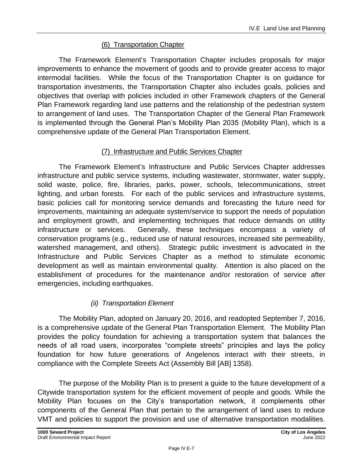### (6) Transportation Chapter

The Framework Element's Transportation Chapter includes proposals for major improvements to enhance the movement of goods and to provide greater access to major intermodal facilities. While the focus of the Transportation Chapter is on guidance for transportation investments, the Transportation Chapter also includes goals, policies and objectives that overlap with policies included in other Framework chapters of the General Plan Framework regarding land use patterns and the relationship of the pedestrian system to arrangement of land uses. The Transportation Chapter of the General Plan Framework is implemented through the General Plan's Mobility Plan 2035 (Mobility Plan), which is a comprehensive update of the General Plan Transportation Element.

### (7) Infrastructure and Public Services Chapter

The Framework Element's Infrastructure and Public Services Chapter addresses infrastructure and public service systems, including wastewater, stormwater, water supply, solid waste, police, fire, libraries, parks, power, schools, telecommunications, street lighting, and urban forests. For each of the public services and infrastructure systems, basic policies call for monitoring service demands and forecasting the future need for improvements, maintaining an adequate system/service to support the needs of population and employment growth, and implementing techniques that reduce demands on utility infrastructure or services. Generally, these techniques encompass a variety of conservation programs (e.g., reduced use of natural resources, increased site permeability, watershed management, and others). Strategic public investment is advocated in the Infrastructure and Public Services Chapter as a method to stimulate economic development as well as maintain environmental quality. Attention is also placed on the establishment of procedures for the maintenance and/or restoration of service after emergencies, including earthquakes.

### *(ii) Transportation Element*

The Mobility Plan, adopted on January 20, 2016, and readopted September 7, 2016, is a comprehensive update of the General Plan Transportation Element. The Mobility Plan provides the policy foundation for achieving a transportation system that balances the needs of all road users, incorporates "complete streets" principles and lays the policy foundation for how future generations of Angelenos interact with their streets, in compliance with the Complete Streets Act (Assembly Bill [AB] 1358).

The purpose of the Mobility Plan is to present a guide to the future development of a Citywide transportation system for the efficient movement of people and goods. While the Mobility Plan focuses on the City's transportation network, it complements other components of the General Plan that pertain to the arrangement of land uses to reduce VMT and policies to support the provision and use of alternative transportation modalities.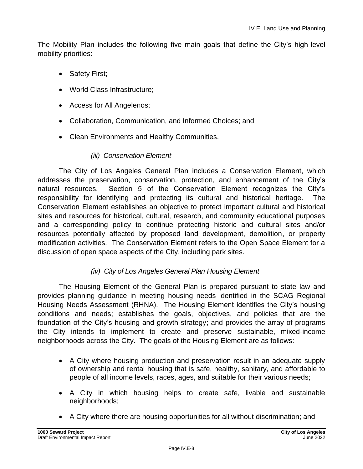The Mobility Plan includes the following five main goals that define the City's high-level mobility priorities:

- Safety First;
- World Class Infrastructure;
- Access for All Angelenos;
- Collaboration, Communication, and Informed Choices; and
- Clean Environments and Healthy Communities.

### *(iii) Conservation Element*

The City of Los Angeles General Plan includes a Conservation Element, which addresses the preservation, conservation, protection, and enhancement of the City's natural resources. Section 5 of the Conservation Element recognizes the City's responsibility for identifying and protecting its cultural and historical heritage. The Conservation Element establishes an objective to protect important cultural and historical sites and resources for historical, cultural, research, and community educational purposes and a corresponding policy to continue protecting historic and cultural sites and/or resources potentially affected by proposed land development, demolition, or property modification activities. The Conservation Element refers to the Open Space Element for a discussion of open space aspects of the City, including park sites.

### *(iv) City of Los Angeles General Plan Housing Element*

The Housing Element of the General Plan is prepared pursuant to state law and provides planning guidance in meeting housing needs identified in the SCAG Regional Housing Needs Assessment (RHNA). The Housing Element identifies the City's housing conditions and needs; establishes the goals, objectives, and policies that are the foundation of the City's housing and growth strategy; and provides the array of programs the City intends to implement to create and preserve sustainable, mixed-income neighborhoods across the City. The goals of the Housing Element are as follows:

- A City where housing production and preservation result in an adequate supply of ownership and rental housing that is safe, healthy, sanitary, and affordable to people of all income levels, races, ages, and suitable for their various needs;
- A City in which housing helps to create safe, livable and sustainable neighborhoods;
- A City where there are housing opportunities for all without discrimination; and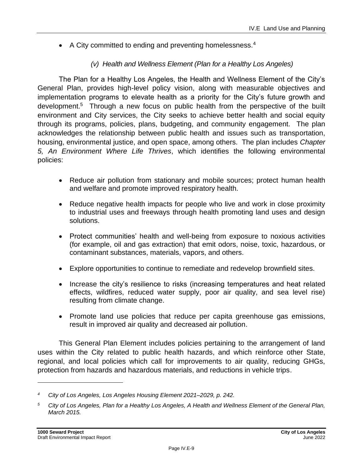• A City committed to ending and preventing homelessness.<sup>4</sup>

### *(v) Health and Wellness Element (Plan for a Healthy Los Angeles)*

The Plan for a Healthy Los Angeles, the Health and Wellness Element of the City's General Plan, provides high-level policy vision, along with measurable objectives and implementation programs to elevate health as a priority for the City's future growth and development. 5 Through a new focus on public health from the perspective of the built environment and City services, the City seeks to achieve better health and social equity through its programs, policies, plans, budgeting, and community engagement. The plan acknowledges the relationship between public health and issues such as transportation, housing, environmental justice, and open space, among others. The plan includes *Chapter 5, An Environment Where Life Thrives*, which identifies the following environmental policies:

- Reduce air pollution from stationary and mobile sources; protect human health and welfare and promote improved respiratory health.
- Reduce negative health impacts for people who live and work in close proximity to industrial uses and freeways through health promoting land uses and design solutions.
- Protect communities' health and well-being from exposure to noxious activities (for example, oil and gas extraction) that emit odors, noise, toxic, hazardous, or contaminant substances, materials, vapors, and others.
- Explore opportunities to continue to remediate and redevelop brownfield sites.
- Increase the city's resilience to risks (increasing temperatures and heat related effects, wildfires, reduced water supply, poor air quality, and sea level rise) resulting from climate change.
- Promote land use policies that reduce per capita greenhouse gas emissions, result in improved air quality and decreased air pollution.

This General Plan Element includes policies pertaining to the arrangement of land uses within the City related to public health hazards, and which reinforce other State, regional, and local policies which call for improvements to air quality, reducing GHGs, protection from hazards and hazardous materials, and reductions in vehicle trips.

*<sup>4</sup> City of Los Angeles, Los Angeles Housing Element 2021–2029, p. 242.*

*<sup>5</sup> City of Los Angeles, Plan for a Healthy Los Angeles, A Health and Wellness Element of the General Plan, March 2015.*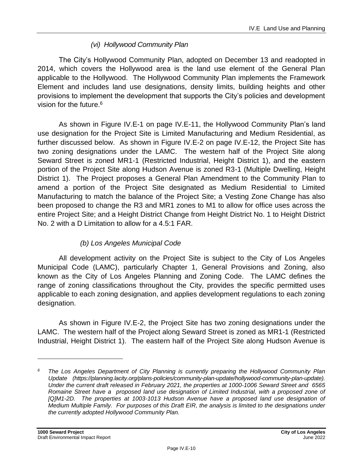### *(vi) Hollywood Community Plan*

The City's Hollywood Community Plan, adopted on December 13 and readopted in 2014, which covers the Hollywood area is the land use element of the General Plan applicable to the Hollywood. The Hollywood Community Plan implements the Framework Element and includes land use designations, density limits, building heights and other provisions to implement the development that supports the City's policies and development vision for the future. 6

As shown in Figure IV.E-1 on page IV.E-11, the Hollywood Community Plan's land use designation for the Project Site is Limited Manufacturing and Medium Residential, as further discussed below. As shown in Figure IV.E-2 on page IV.E-12, the Project Site has two zoning designations under the LAMC. The western half of the Project Site along Seward Street is zoned MR1-1 (Restricted Industrial, Height District 1), and the eastern portion of the Project Site along Hudson Avenue is zoned R3-1 (Multiple Dwelling, Height District 1). The Project proposes a General Plan Amendment to the Community Plan to amend a portion of the Project Site designated as Medium Residential to Limited Manufacturing to match the balance of the Project Site; a Vesting Zone Change has also been proposed to change the R3 and MR1 zones to M1 to allow for office uses across the entire Project Site; and a Height District Change from Height District No. 1 to Height District No. 2 with a D Limitation to allow for a 4.5:1 FAR.

### *(b) Los Angeles Municipal Code*

All development activity on the Project Site is subject to the City of Los Angeles Municipal Code (LAMC), particularly Chapter 1, General Provisions and Zoning, also known as the City of Los Angeles Planning and Zoning Code. The LAMC defines the range of zoning classifications throughout the City, provides the specific permitted uses applicable to each zoning designation, and applies development regulations to each zoning designation.

As shown in Figure IV.E-2, the Project Site has two zoning designations under the LAMC. The western half of the Project along Seward Street is zoned as MR1-1 (Restricted Industrial, Height District 1). The eastern half of the Project Site along Hudson Avenue is

*<sup>6</sup> The Los Angeles Department of City Planning is currently preparing the Hollywood Community Plan Update (https://planning.lacity.org/plans-policies/community-plan-update/hollywood-community-plan-update). Under the current draft released in February 2021, the properties at 1000-1006 Seward Street and 6565 Romaine Street have a proposed land use designation of Limited Industrial, with a proposed zone of*  [Q]M1-2D. The properties at 1003-1013 Hudson Avenue have a proposed land use designation of *Medium Multiple Family. For purposes of this Draft EIR, the analysis is limited to the designations under the currently adopted Hollywood Community Plan.*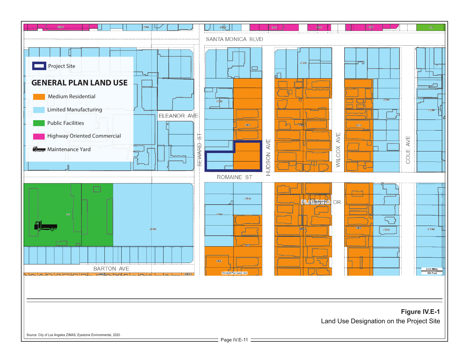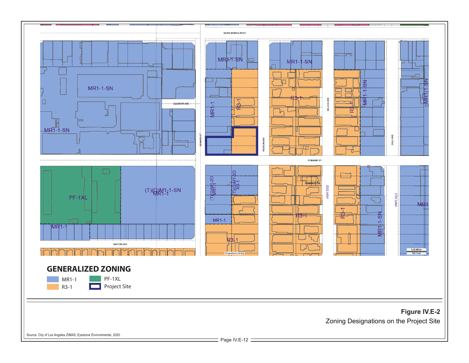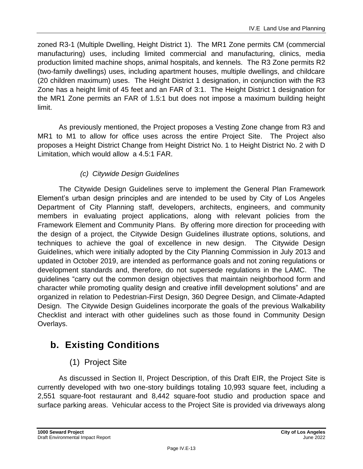zoned R3-1 (Multiple Dwelling, Height District 1). The MR1 Zone permits CM (commercial manufacturing) uses, including limited commercial and manufacturing, clinics, media production limited machine shops, animal hospitals, and kennels. The R3 Zone permits R2 (two-family dwellings) uses, including apartment houses, multiple dwellings, and childcare (20 children maximum) uses. The Height District 1 designation, in conjunction with the R3 Zone has a height limit of 45 feet and an FAR of 3:1. The Height District 1 designation for the MR1 Zone permits an FAR of 1.5:1 but does not impose a maximum building height limit.

As previously mentioned, the Project proposes a Vesting Zone change from R3 and MR1 to M1 to allow for office uses across the entire Project Site. The Project also proposes a Height District Change from Height District No. 1 to Height District No. 2 with D Limitation, which would allow a 4.5:1 FAR.

## *(c) Citywide Design Guidelines*

The Citywide Design Guidelines serve to implement the General Plan Framework Element's urban design principles and are intended to be used by City of Los Angeles Department of City Planning staff, developers, architects, engineers, and community members in evaluating project applications, along with relevant policies from the Framework Element and Community Plans. By offering more direction for proceeding with the design of a project, the Citywide Design Guidelines illustrate options, solutions, and techniques to achieve the goal of excellence in new design. The Citywide Design Guidelines, which were initially adopted by the City Planning Commission in July 2013 and updated in October 2019, are intended as performance goals and not zoning regulations or development standards and, therefore, do not supersede regulations in the LAMC. The guidelines "carry out the common design objectives that maintain neighborhood form and character while promoting quality design and creative infill development solutions" and are organized in relation to Pedestrian-First Design, 360 Degree Design, and Climate-Adapted Design. The Citywide Design Guidelines incorporate the goals of the previous Walkability Checklist and interact with other guidelines such as those found in Community Design Overlays.

## **b. Existing Conditions**

## (1) Project Site

As discussed in Section II, Project Description, of this Draft EIR, the Project Site is currently developed with two one-story buildings totaling 10,993 square feet, including a 2,551 square-foot restaurant and 8,442 square-foot studio and production space and surface parking areas. Vehicular access to the Project Site is provided via driveways along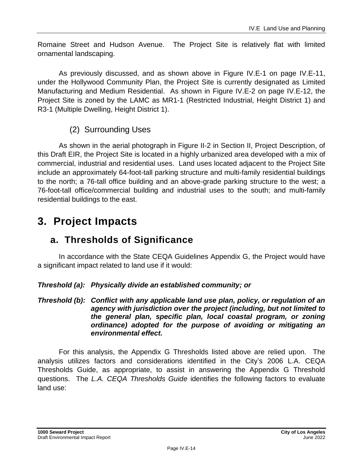Romaine Street and Hudson Avenue. The Project Site is relatively flat with limited ornamental landscaping.

As previously discussed, and as shown above in Figure IV.E-1 on page IV.E-11, under the Hollywood Community Plan, the Project Site is currently designated as Limited Manufacturing and Medium Residential. As shown in Figure IV.E-2 on page IV.E-12, the Project Site is zoned by the LAMC as MR1-1 (Restricted Industrial, Height District 1) and R3-1 (Multiple Dwelling, Height District 1).

## (2) Surrounding Uses

As shown in the aerial photograph in Figure II-2 in Section II, Project Description, of this Draft EIR, the Project Site is located in a highly urbanized area developed with a mix of commercial, industrial and residential uses. Land uses located adjacent to the Project Site include an approximately 64-foot-tall parking structure and multi-family residential buildings to the north; a 76-tall office building and an above-grade parking structure to the west; a 76-foot-tall office/commercial building and industrial uses to the south; and multi-family residential buildings to the east.

## **3. Project Impacts**

## **a. Thresholds of Significance**

In accordance with the State CEQA Guidelines Appendix G, the Project would have a significant impact related to land use if it would:

### *Threshold (a): Physically divide an established community; or*

*Threshold (b): Conflict with any applicable land use plan, policy, or regulation of an agency with jurisdiction over the project (including, but not limited to the general plan, specific plan, local coastal program, or zoning ordinance) adopted for the purpose of avoiding or mitigating an environmental effect.*

For this analysis, the Appendix G Thresholds listed above are relied upon. The analysis utilizes factors and considerations identified in the City's 2006 L.A. CEQA Thresholds Guide, as appropriate, to assist in answering the Appendix G Threshold questions. The *L.A. CEQA Thresholds Guide* identifies the following factors to evaluate land use: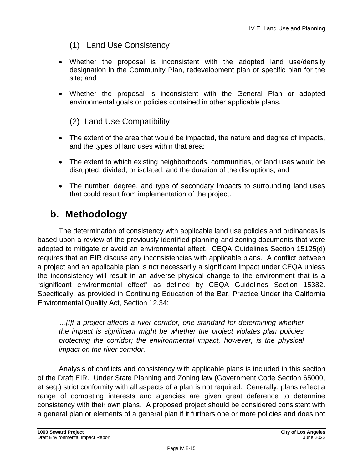## (1) Land Use Consistency

- Whether the proposal is inconsistent with the adopted land use/density designation in the Community Plan, redevelopment plan or specific plan for the site; and
- Whether the proposal is inconsistent with the General Plan or adopted environmental goals or policies contained in other applicable plans.

## (2) Land Use Compatibility

- The extent of the area that would be impacted, the nature and degree of impacts, and the types of land uses within that area;
- The extent to which existing neighborhoods, communities, or land uses would be disrupted, divided, or isolated, and the duration of the disruptions; and
- The number, degree, and type of secondary impacts to surrounding land uses that could result from implementation of the project.

## **b. Methodology**

The determination of consistency with applicable land use policies and ordinances is based upon a review of the previously identified planning and zoning documents that were adopted to mitigate or avoid an environmental effect. CEQA Guidelines Section 15125(d) requires that an EIR discuss any inconsistencies with applicable plans. A conflict between a project and an applicable plan is not necessarily a significant impact under CEQA unless the inconsistency will result in an adverse physical change to the environment that is a "significant environmental effect" as defined by CEQA Guidelines Section 15382. Specifically, as provided in Continuing Education of the Bar, Practice Under the California Environmental Quality Act, Section 12.34:

*…[I]f a project affects a river corridor, one standard for determining whether the impact is significant might be whether the project violates plan policies protecting the corridor; the environmental impact, however, is the physical impact on the river corridor.*

Analysis of conflicts and consistency with applicable plans is included in this section of the Draft EIR. Under State Planning and Zoning law (Government Code Section 65000, et seq.) strict conformity with all aspects of a plan is not required. Generally, plans reflect a range of competing interests and agencies are given great deference to determine consistency with their own plans. A proposed project should be considered consistent with a general plan or elements of a general plan if it furthers one or more policies and does not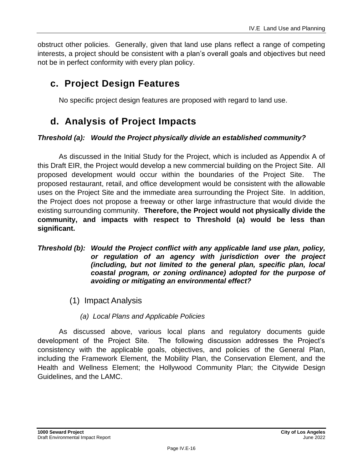obstruct other policies. Generally, given that land use plans reflect a range of competing interests, a project should be consistent with a plan's overall goals and objectives but need not be in perfect conformity with every plan policy.

## **c. Project Design Features**

No specific project design features are proposed with regard to land use.

## **d. Analysis of Project Impacts**

### *Threshold (a): Would the Project physically divide an established community?*

As discussed in the Initial Study for the Project, which is included as Appendix A of this Draft EIR, the Project would develop a new commercial building on the Project Site. All proposed development would occur within the boundaries of the Project Site. The proposed restaurant, retail, and office development would be consistent with the allowable uses on the Project Site and the immediate area surrounding the Project Site. In addition, the Project does not propose a freeway or other large infrastructure that would divide the existing surrounding community. **Therefore, the Project would not physically divide the community, and impacts with respect to Threshold (a) would be less than significant.**

#### *Threshold (b): Would the Project conflict with any applicable land use plan, policy, or regulation of an agency with jurisdiction over the project (including, but not limited to the general plan, specific plan, local coastal program, or zoning ordinance) adopted for the purpose of avoiding or mitigating an environmental effect?*

- (1) Impact Analysis
	- *(a) Local Plans and Applicable Policies*

As discussed above, various local plans and regulatory documents guide development of the Project Site. The following discussion addresses the Project's consistency with the applicable goals, objectives, and policies of the General Plan, including the Framework Element, the Mobility Plan, the Conservation Element, and the Health and Wellness Element; the Hollywood Community Plan; the Citywide Design Guidelines, and the LAMC.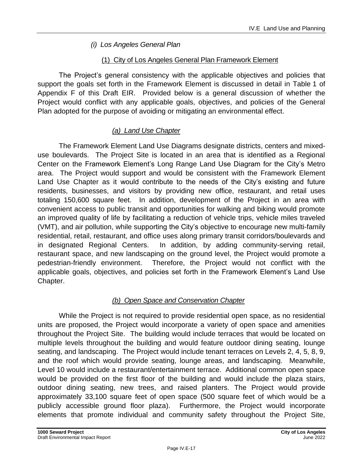### *(i) Los Angeles General Plan*

### (1) City of Los Angeles General Plan Framework Element

The Project's general consistency with the applicable objectives and policies that support the goals set forth in the Framework Element is discussed in detail in Table 1 of Appendix F of this Draft EIR. Provided below is a general discussion of whether the Project would conflict with any applicable goals, objectives, and policies of the General Plan adopted for the purpose of avoiding or mitigating an environmental effect.

### *(a) Land Use Chapter*

The Framework Element Land Use Diagrams designate districts, centers and mixeduse boulevards. The Project Site is located in an area that is identified as a Regional Center on the Framework Element's Long Range Land Use Diagram for the City's Metro area. The Project would support and would be consistent with the Framework Element Land Use Chapter as it would contribute to the needs of the City's existing and future residents, businesses, and visitors by providing new office, restaurant, and retail uses totaling 150,600 square feet. In addition, development of the Project in an area with convenient access to public transit and opportunities for walking and biking would promote an improved quality of life by facilitating a reduction of vehicle trips, vehicle miles traveled (VMT), and air pollution, while supporting the City's objective to encourage new multi-family residential, retail, restaurant, and office uses along primary transit corridors/boulevards and in designated Regional Centers. In addition, by adding community-serving retail, restaurant space, and new landscaping on the ground level, the Project would promote a pedestrian-friendly environment. Therefore, the Project would not conflict with the applicable goals, objectives, and policies set forth in the Framework Element's Land Use Chapter.

### *(b) Open Space and Conservation Chapter*

While the Project is not required to provide residential open space, as no residential units are proposed, the Project would incorporate a variety of open space and amenities throughout the Project Site. The building would include terraces that would be located on multiple levels throughout the building and would feature outdoor dining seating, lounge seating, and landscaping. The Project would include tenant terraces on Levels 2, 4, 5, 8, 9, and the roof which would provide seating, lounge areas, and landscaping. Meanwhile, Level 10 would include a restaurant/entertainment terrace. Additional common open space would be provided on the first floor of the building and would include the plaza stairs, outdoor dining seating, new trees, and raised planters. The Project would provide approximately 33,100 square feet of open space (500 square feet of which would be a publicly accessible ground floor plaza). Furthermore, the Project would incorporate elements that promote individual and community safety throughout the Project Site,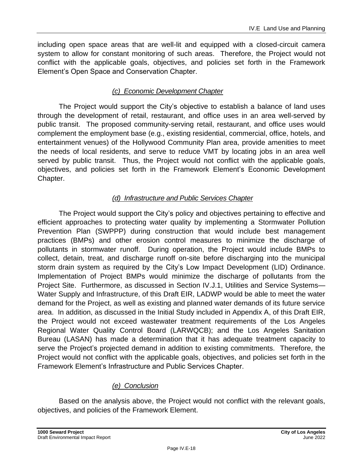including open space areas that are well-lit and equipped with a closed-circuit camera system to allow for constant monitoring of such areas. Therefore, the Project would not conflict with the applicable goals, objectives, and policies set forth in the Framework Element's Open Space and Conservation Chapter.

### *(c) Economic Development Chapter*

The Project would support the City's objective to establish a balance of land uses through the development of retail, restaurant, and office uses in an area well-served by public transit. The proposed community-serving retail, restaurant, and office uses would complement the employment base (e.g., existing residential, commercial, office, hotels, and entertainment venues) of the Hollywood Community Plan area, provide amenities to meet the needs of local residents, and serve to reduce VMT by locating jobs in an area well served by public transit. Thus, the Project would not conflict with the applicable goals, objectives, and policies set forth in the Framework Element's Economic Development Chapter.

### *(d) Infrastructure and Public Services Chapter*

The Project would support the City's policy and objectives pertaining to effective and efficient approaches to protecting water quality by implementing a Stormwater Pollution Prevention Plan (SWPPP) during construction that would include best management practices (BMPs) and other erosion control measures to minimize the discharge of pollutants in stormwater runoff. During operation, the Project would include BMPs to collect, detain, treat, and discharge runoff on-site before discharging into the municipal storm drain system as required by the City's Low Impact Development (LID) Ordinance. Implementation of Project BMPs would minimize the discharge of pollutants from the Project Site. Furthermore, as discussed in Section IV.J.1, Utilities and Service Systems— Water Supply and Infrastructure, of this Draft EIR, LADWP would be able to meet the water demand for the Project, as well as existing and planned water demands of its future service area. In addition, as discussed in the Initial Study included in Appendix A, of this Draft EIR, the Project would not exceed wastewater treatment requirements of the Los Angeles Regional Water Quality Control Board (LARWQCB); and the Los Angeles Sanitation Bureau (LASAN) has made a determination that it has adequate treatment capacity to serve the Project's projected demand in addition to existing commitments. Therefore, the Project would not conflict with the applicable goals, objectives, and policies set forth in the Framework Element's Infrastructure and Public Services Chapter.

### *(e) Conclusion*

Based on the analysis above, the Project would not conflict with the relevant goals, objectives, and policies of the Framework Element.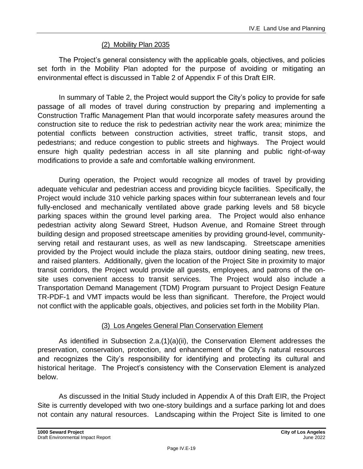### (2) Mobility Plan 2035

The Project's general consistency with the applicable goals, objectives, and policies set forth in the Mobility Plan adopted for the purpose of avoiding or mitigating an environmental effect is discussed in Table 2 of Appendix F of this Draft EIR.

In summary of Table 2, the Project would support the City's policy to provide for safe passage of all modes of travel during construction by preparing and implementing a Construction Traffic Management Plan that would incorporate safety measures around the construction site to reduce the risk to pedestrian activity near the work area; minimize the potential conflicts between construction activities, street traffic, transit stops, and pedestrians; and reduce congestion to public streets and highways. The Project would ensure high quality pedestrian access in all site planning and public right-of-way modifications to provide a safe and comfortable walking environment.

During operation, the Project would recognize all modes of travel by providing adequate vehicular and pedestrian access and providing bicycle facilities. Specifically, the Project would include 310 vehicle parking spaces within four subterranean levels and four fully-enclosed and mechanically ventilated above grade parking levels and 58 bicycle parking spaces within the ground level parking area. The Project would also enhance pedestrian activity along Seward Street, Hudson Avenue, and Romaine Street through building design and proposed streetscape amenities by providing ground-level, communityserving retail and restaurant uses, as well as new landscaping. Streetscape amenities provided by the Project would include the plaza stairs, outdoor dining seating, new trees, and raised planters. Additionally, given the location of the Project Site in proximity to major transit corridors, the Project would provide all guests, employees, and patrons of the onsite uses convenient access to transit services. The Project would also include a Transportation Demand Management (TDM) Program pursuant to Project Design Feature TR-PDF-1 and VMT impacts would be less than significant. Therefore, the Project would not conflict with the applicable goals, objectives, and policies set forth in the Mobility Plan.

### (3) Los Angeles General Plan Conservation Element

As identified in Subsection 2.a.(1)(a)(ii), the Conservation Element addresses the preservation, conservation, protection, and enhancement of the City's natural resources and recognizes the City's responsibility for identifying and protecting its cultural and historical heritage. The Project's consistency with the Conservation Element is analyzed below.

As discussed in the Initial Study included in Appendix A of this Draft EIR, the Project Site is currently developed with two one-story buildings and a surface parking lot and does not contain any natural resources. Landscaping within the Project Site is limited to one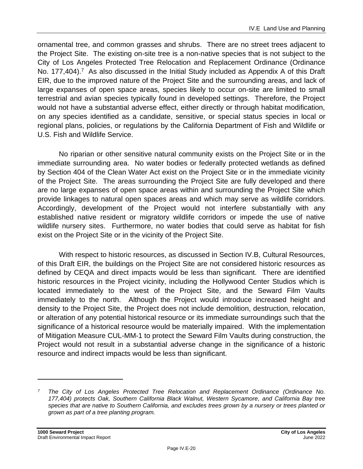ornamental tree, and common grasses and shrubs. There are no street trees adjacent to the Project Site. The existing on-site tree is a non-native species that is not subject to the City of Los Angeles Protected Tree Relocation and Replacement Ordinance (Ordinance No. 177,404).<sup>7</sup> As also discussed in the Initial Study included as Appendix A of this Draft EIR, due to the improved nature of the Project Site and the surrounding areas, and lack of large expanses of open space areas, species likely to occur on-site are limited to small terrestrial and avian species typically found in developed settings. Therefore, the Project would not have a substantial adverse effect, either directly or through habitat modification, on any species identified as a candidate, sensitive, or special status species in local or regional plans, policies, or regulations by the California Department of Fish and Wildlife or U.S. Fish and Wildlife Service.

No riparian or other sensitive natural community exists on the Project Site or in the immediate surrounding area. No water bodies or federally protected wetlands as defined by Section 404 of the Clean Water Act exist on the Project Site or in the immediate vicinity of the Project Site. The areas surrounding the Project Site are fully developed and there are no large expanses of open space areas within and surrounding the Project Site which provide linkages to natural open spaces areas and which may serve as wildlife corridors. Accordingly, development of the Project would not interfere substantially with any established native resident or migratory wildlife corridors or impede the use of native wildlife nursery sites. Furthermore, no water bodies that could serve as habitat for fish exist on the Project Site or in the vicinity of the Project Site.

With respect to historic resources, as discussed in Section IV.B, Cultural Resources, of this Draft EIR, the buildings on the Project Site are not considered historic resources as defined by CEQA and direct impacts would be less than significant. There are identified historic resources in the Project vicinity, including the Hollywood Center Studios which is located immediately to the west of the Project Site, and the Seward Film Vaults immediately to the north. Although the Project would introduce increased height and density to the Project Site, the Project does not include demolition, destruction, relocation, or alteration of any potential historical resource or its immediate surroundings such that the significance of a historical resource would be materially impaired. With the implementation of Mitigation Measure CUL-MM-1 to protect the Seward Film Vaults during construction, the Project would not result in a substantial adverse change in the significance of a historic resource and indirect impacts would be less than significant.

*<sup>7</sup> The City of Los Angeles Protected Tree Relocation and Replacement Ordinance (Ordinance No. 177,404) protects Oak, Southern California Black Walnut, Western Sycamore, and California Bay tree species that are native to Southern California, and excludes trees grown by a nursery or trees planted or grown as part of a tree planting program.*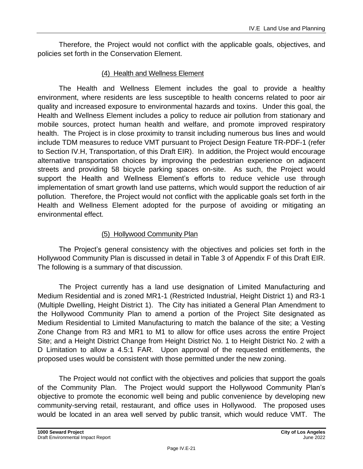Therefore, the Project would not conflict with the applicable goals, objectives, and policies set forth in the Conservation Element.

#### (4) Health and Wellness Element

The Health and Wellness Element includes the goal to provide a healthy environment, where residents are less susceptible to health concerns related to poor air quality and increased exposure to environmental hazards and toxins. Under this goal, the Health and Wellness Element includes a policy to reduce air pollution from stationary and mobile sources, protect human health and welfare, and promote improved respiratory health. The Project is in close proximity to transit including numerous bus lines and would include TDM measures to reduce VMT pursuant to Project Design Feature TR-PDF-1 (refer to Section IV.H, Transportation, of this Draft EIR). In addition, the Project would encourage alternative transportation choices by improving the pedestrian experience on adjacent streets and providing 58 bicycle parking spaces on-site. As such, the Project would support the Health and Wellness Element's efforts to reduce vehicle use through implementation of smart growth land use patterns, which would support the reduction of air pollution. Therefore, the Project would not conflict with the applicable goals set forth in the Health and Wellness Element adopted for the purpose of avoiding or mitigating an environmental effect.

### (5) Hollywood Community Plan

The Project's general consistency with the objectives and policies set forth in the Hollywood Community Plan is discussed in detail in Table 3 of Appendix F of this Draft EIR. The following is a summary of that discussion.

The Project currently has a land use designation of Limited Manufacturing and Medium Residential and is zoned MR1-1 (Restricted Industrial, Height District 1) and R3-1 (Multiple Dwelling, Height District 1). The City has initiated a General Plan Amendment to the Hollywood Community Plan to amend a portion of the Project Site designated as Medium Residential to Limited Manufacturing to match the balance of the site; a Vesting Zone Change from R3 and MR1 to M1 to allow for office uses across the entire Project Site; and a Height District Change from Height District No. 1 to Height District No. 2 with a D Limitation to allow a 4.5:1 FAR. Upon approval of the requested entitlements, the proposed uses would be consistent with those permitted under the new zoning.

The Project would not conflict with the objectives and policies that support the goals of the Community Plan. The Project would support the Hollywood Community Plan's objective to promote the economic well being and public convenience by developing new community-serving retail, restaurant, and office uses in Hollywood. The proposed uses would be located in an area well served by public transit, which would reduce VMT. The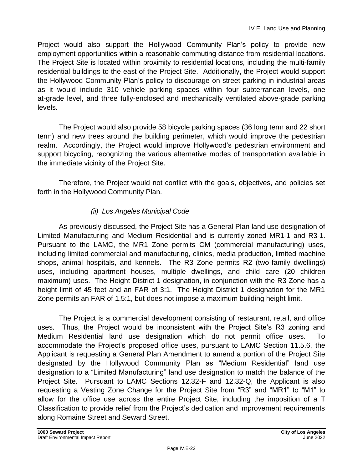Project would also support the Hollywood Community Plan's policy to provide new employment opportunities within a reasonable commuting distance from residential locations. The Project Site is located within proximity to residential locations, including the multi-family residential buildings to the east of the Project Site. Additionally, the Project would support the Hollywood Community Plan's policy to discourage on-street parking in industrial areas as it would include 310 vehicle parking spaces within four subterranean levels, one at-grade level, and three fully-enclosed and mechanically ventilated above-grade parking levels.

The Project would also provide 58 bicycle parking spaces (36 long term and 22 short term) and new trees around the building perimeter, which would improve the pedestrian realm. Accordingly, the Project would improve Hollywood's pedestrian environment and support bicycling, recognizing the various alternative modes of transportation available in the immediate vicinity of the Project Site.

Therefore, the Project would not conflict with the goals, objectives, and policies set forth in the Hollywood Community Plan.

### *(ii) Los Angeles Municipal Code*

As previously discussed, the Project Site has a General Plan land use designation of Limited Manufacturing and Medium Residential and is currently zoned MR1-1 and R3-1. Pursuant to the LAMC, the MR1 Zone permits CM (commercial manufacturing) uses, including limited commercial and manufacturing, clinics, media production, limited machine shops, animal hospitals, and kennels. The R3 Zone permits R2 (two-family dwellings) uses, including apartment houses, multiple dwellings, and child care (20 children maximum) uses. The Height District 1 designation, in conjunction with the R3 Zone has a height limit of 45 feet and an FAR of 3:1. The Height District 1 designation for the MR1 Zone permits an FAR of 1.5:1, but does not impose a maximum building height limit.

The Project is a commercial development consisting of restaurant, retail, and office uses. Thus, the Project would be inconsistent with the Project Site's R3 zoning and Medium Residential land use designation which do not permit office uses. To accommodate the Project's proposed office uses, pursuant to LAMC Section 11.5.6, the Applicant is requesting a General Plan Amendment to amend a portion of the Project Site designated by the Hollywood Community Plan as "Medium Residential" land use designation to a "Limited Manufacturing" land use designation to match the balance of the Project Site. Pursuant to LAMC Sections 12.32-F and 12.32-Q, the Applicant is also requesting a Vesting Zone Change for the Project Site from "R3" and "MR1" to "M1" to allow for the office use across the entire Project Site, including the imposition of a T Classification to provide relief from the Project's dedication and improvement requirements along Romaine Street and Seward Street.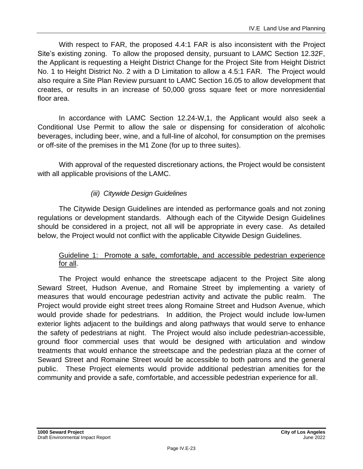With respect to FAR, the proposed 4.4:1 FAR is also inconsistent with the Project Site's existing zoning. To allow the proposed density, pursuant to LAMC Section 12.32F, the Applicant is requesting a Height District Change for the Project Site from Height District No. 1 to Height District No. 2 with a D Limitation to allow a 4.5:1 FAR. The Project would also require a Site Plan Review pursuant to LAMC Section 16.05 to allow development that creates, or results in an increase of 50,000 gross square feet or more nonresidential floor area.

In accordance with LAMC Section 12.24-W,1, the Applicant would also seek a Conditional Use Permit to allow the sale or dispensing for consideration of alcoholic beverages, including beer, wine, and a full-line of alcohol, for consumption on the premises or off-site of the premises in the M1 Zone (for up to three suites).

With approval of the requested discretionary actions, the Project would be consistent with all applicable provisions of the LAMC.

### *(iii) Citywide Design Guidelines*

The Citywide Design Guidelines are intended as performance goals and not zoning regulations or development standards. Although each of the Citywide Design Guidelines should be considered in a project, not all will be appropriate in every case. As detailed below, the Project would not conflict with the applicable Citywide Design Guidelines.

### Guideline 1: Promote a safe, comfortable, and accessible pedestrian experience for all.

The Project would enhance the streetscape adjacent to the Project Site along Seward Street, Hudson Avenue, and Romaine Street by implementing a variety of measures that would encourage pedestrian activity and activate the public realm. The Project would provide eight street trees along Romaine Street and Hudson Avenue, which would provide shade for pedestrians. In addition, the Project would include low-lumen exterior lights adjacent to the buildings and along pathways that would serve to enhance the safety of pedestrians at night. The Project would also include pedestrian-accessible, ground floor commercial uses that would be designed with articulation and window treatments that would enhance the streetscape and the pedestrian plaza at the corner of Seward Street and Romaine Street would be accessible to both patrons and the general public. These Project elements would provide additional pedestrian amenities for the community and provide a safe, comfortable, and accessible pedestrian experience for all.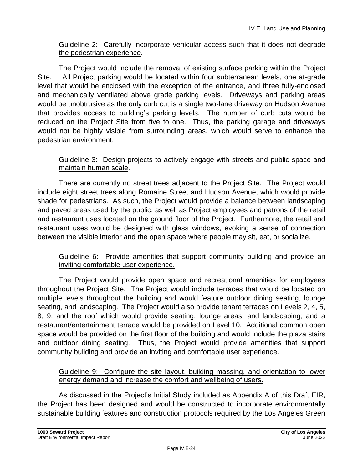### Guideline 2: Carefully incorporate vehicular access such that it does not degrade the pedestrian experience.

The Project would include the removal of existing surface parking within the Project Site. All Project parking would be located within four subterranean levels, one at-grade level that would be enclosed with the exception of the entrance, and three fully-enclosed and mechanically ventilated above grade parking levels. Driveways and parking areas would be unobtrusive as the only curb cut is a single two-lane driveway on Hudson Avenue that provides access to building's parking levels. The number of curb cuts would be reduced on the Project Site from five to one. Thus, the parking garage and driveways would not be highly visible from surrounding areas, which would serve to enhance the pedestrian environment.

#### Guideline 3: Design projects to actively engage with streets and public space and maintain human scale.

There are currently no street trees adjacent to the Project Site. The Project would include eight street trees along Romaine Street and Hudson Avenue, which would provide shade for pedestrians. As such, the Project would provide a balance between landscaping and paved areas used by the public, as well as Project employees and patrons of the retail and restaurant uses located on the ground floor of the Project. Furthermore, the retail and restaurant uses would be designed with glass windows, evoking a sense of connection between the visible interior and the open space where people may sit, eat, or socialize.

#### Guideline 6: Provide amenities that support community building and provide an inviting comfortable user experience.

The Project would provide open space and recreational amenities for employees throughout the Project Site. The Project would include terraces that would be located on multiple levels throughout the building and would feature outdoor dining seating, lounge seating, and landscaping. The Project would also provide tenant terraces on Levels 2, 4, 5, 8, 9, and the roof which would provide seating, lounge areas, and landscaping; and a restaurant/entertainment terrace would be provided on Level 10. Additional common open space would be provided on the first floor of the building and would include the plaza stairs and outdoor dining seating. Thus, the Project would provide amenities that support community building and provide an inviting and comfortable user experience.

#### Guideline 9: Configure the site layout, building massing, and orientation to lower energy demand and increase the comfort and wellbeing of users.

As discussed in the Project's Initial Study included as Appendix A of this Draft EIR, the Project has been designed and would be constructed to incorporate environmentally sustainable building features and construction protocols required by the Los Angeles Green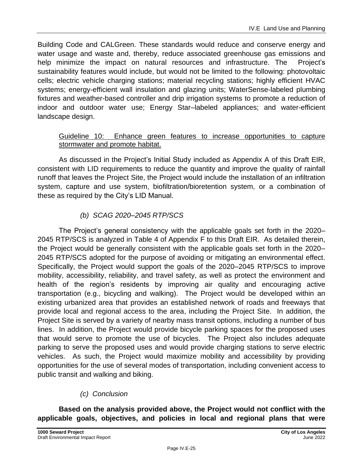Building Code and CALGreen. These standards would reduce and conserve energy and water usage and waste and, thereby, reduce associated greenhouse gas emissions and help minimize the impact on natural resources and infrastructure. The Project's sustainability features would include, but would not be limited to the following: photovoltaic cells; electric vehicle charging stations; material recycling stations; highly efficient HVAC systems; energy-efficient wall insulation and glazing units; WaterSense-labeled plumbing fixtures and weather-based controller and drip irrigation systems to promote a reduction of indoor and outdoor water use; Energy Star–labeled appliances; and water-efficient landscape design.

### Guideline 10: Enhance green features to increase opportunities to capture stormwater and promote habitat.

As discussed in the Project's Initial Study included as Appendix A of this Draft EIR, consistent with LID requirements to reduce the quantity and improve the quality of rainfall runoff that leaves the Project Site, the Project would include the installation of an infiltration system, capture and use system, biofiltration/bioretention system, or a combination of these as required by the City's LID Manual.

### *(b) SCAG 2020–2045 RTP/SCS*

The Project's general consistency with the applicable goals set forth in the 2020– 2045 RTP/SCS is analyzed in Table 4 of Appendix F to this Draft EIR. As detailed therein, the Project would be generally consistent with the applicable goals set forth in the 2020– 2045 RTP/SCS adopted for the purpose of avoiding or mitigating an environmental effect. Specifically, the Project would support the goals of the 2020–2045 RTP/SCS to improve mobility, accessibility, reliability, and travel safety, as well as protect the environment and health of the region's residents by improving air quality and encouraging active transportation (e.g., bicycling and walking). The Project would be developed within an existing urbanized area that provides an established network of roads and freeways that provide local and regional access to the area, including the Project Site. In addition, the Project Site is served by a variety of nearby mass transit options, including a number of bus lines. In addition, the Project would provide bicycle parking spaces for the proposed uses that would serve to promote the use of bicycles. The Project also includes adequate parking to serve the proposed uses and would provide charging stations to serve electric vehicles. As such, the Project would maximize mobility and accessibility by providing opportunities for the use of several modes of transportation, including convenient access to public transit and walking and biking.

### *(c) Conclusion*

**Based on the analysis provided above, the Project would not conflict with the applicable goals, objectives, and policies in local and regional plans that were**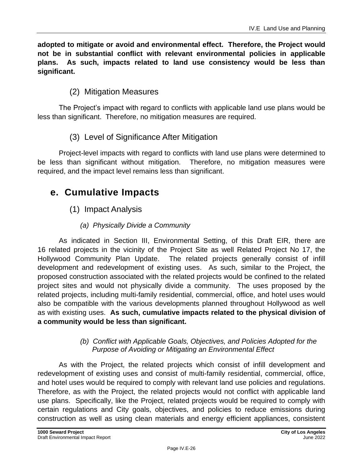**adopted to mitigate or avoid and environmental effect. Therefore, the Project would not be in substantial conflict with relevant environmental policies in applicable plans. As such, impacts related to land use consistency would be less than significant.**

## (2) Mitigation Measures

The Project's impact with regard to conflicts with applicable land use plans would be less than significant. Therefore, no mitigation measures are required.

### (3) Level of Significance After Mitigation

Project-level impacts with regard to conflicts with land use plans were determined to be less than significant without mitigation. Therefore, no mitigation measures were required, and the impact level remains less than significant.

## **e. Cumulative Impacts**

(1) Impact Analysis

### *(a) Physically Divide a Community*

As indicated in Section III, Environmental Setting, of this Draft EIR, there are 16 related projects in the vicinity of the Project Site as well Related Project No 17, the Hollywood Community Plan Update. The related projects generally consist of infill development and redevelopment of existing uses. As such, similar to the Project, the proposed construction associated with the related projects would be confined to the related project sites and would not physically divide a community. The uses proposed by the related projects, including multi-family residential, commercial, office, and hotel uses would also be compatible with the various developments planned throughout Hollywood as well as with existing uses. **As such, cumulative impacts related to the physical division of a community would be less than significant.**

#### *(b) Conflict with Applicable Goals, Objectives, and Policies Adopted for the Purpose of Avoiding or Mitigating an Environmental Effect*

As with the Project, the related projects which consist of infill development and redevelopment of existing uses and consist of multi-family residential, commercial, office, and hotel uses would be required to comply with relevant land use policies and regulations. Therefore, as with the Project, the related projects would not conflict with applicable land use plans. Specifically, like the Project, related projects would be required to comply with certain regulations and City goals, objectives, and policies to reduce emissions during construction as well as using clean materials and energy efficient appliances, consistent